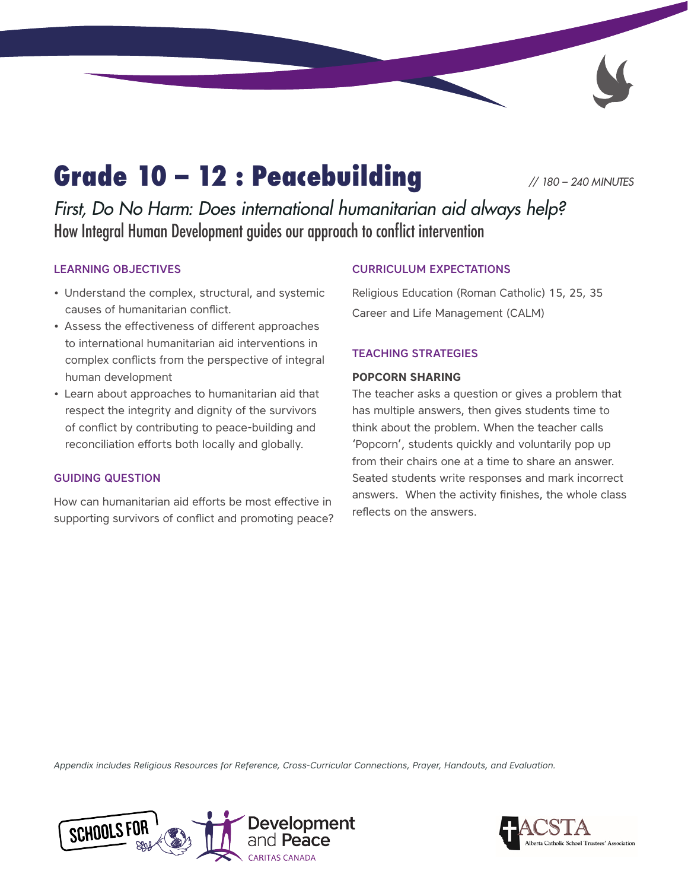# Grade 10 – 12 : Peacebuilding *// 180 – 240 MINUTES*

*First, Do No Harm: Does international humanitarian aid always help?*  How Integral Human Development guides our approach to conflict intervention

### LEARNING OBJECTIVES

- Understand the complex, structural, and systemic causes of humanitarian conflict.
- Assess the effectiveness of different approaches to international humanitarian aid interventions in complex conflicts from the perspective of integral human development
- Learn about approaches to humanitarian aid that respect the integrity and dignity of the survivors of conflict by contributing to peace-building and reconciliation efforts both locally and globally.

### GUIDING QUESTION

How can humanitarian aid efforts be most effective in supporting survivors of conflict and promoting peace?

### CURRICULUM EXPECTATIONS

Religious Education (Roman Catholic) 15, 25, 35 Career and Life Management (CALM)

### TEACHING STRATEGIES

#### **POPCORN SHARING**

The teacher asks a question or gives a problem that has multiple answers, then gives students time to think about the problem. When the teacher calls 'Popcorn', students quickly and voluntarily pop up from their chairs one at a time to share an answer. Seated students write responses and mark incorrect answers. When the activity finishes, the whole class reflects on the answers.

*Appendix includes Religious Resources for Reference, Cross-Curricular Connections, Prayer, Handouts, and Evaluation.*



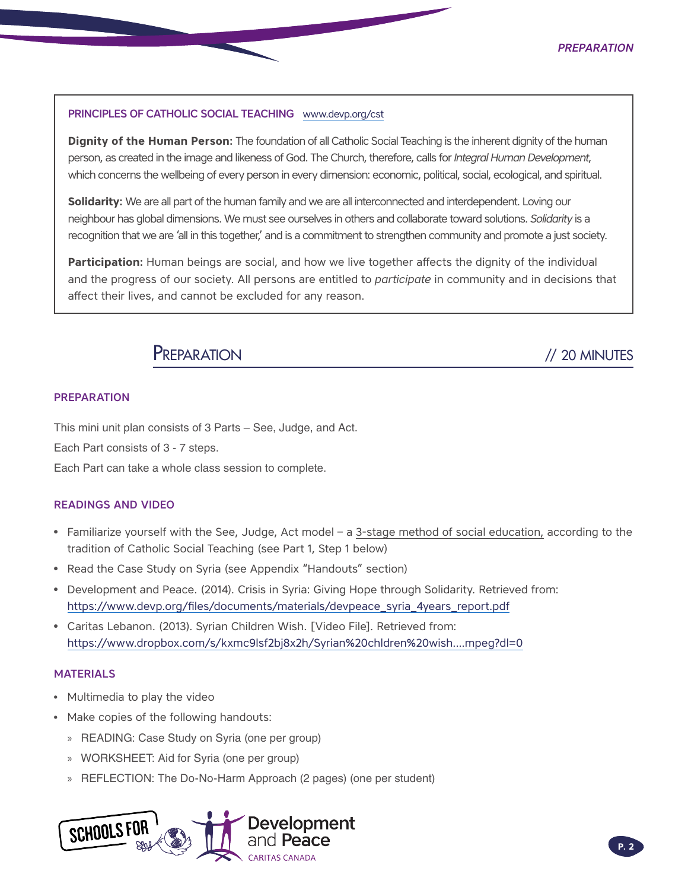#### PRINCIPLES OF CATHOLIC SOCIAL TEACHING [www.devp.org/cst](http://www.devp.org/cst)

**Dignity of the Human Person:** The foundation of all Catholic Social Teaching is the inherent dignity of the human person, as created in the image and likeness of God. The Church, therefore, calls for *Integral Human Development*, which concerns the wellbeing of every person in every dimension: economic, political, social, ecological, and spiritual.

**Solidarity:** We are all part of the human family and we are all interconnected and interdependent. Loving our neighbour has global dimensions. We must see ourselves in others and collaborate toward solutions. *Solidarity* is a recognition that we are 'all in this together,' and is a commitment to strengthen community and promote a just society.

**Participation:** Human beings are social, and how we live together affects the dignity of the individual and the progress of our society. All persons are entitled to *participate* in community and in decisions that affect their lives, and cannot be excluded for any reason.

### PREPARATION // 20 MINUTES

#### PREPARATION

This mini unit plan consists of 3 Parts – See, Judge, and Act.

Each Part consists of 3 - 7 steps.

Each Part can take a whole class session to complete.

#### READINGS AND VIDEO

- Familiarize yourself with the See, Judge, Act model a 3-stage method of social education, according to the tradition of Catholic Social Teaching (see Part 1, Step 1 below)
- Read the Case Study on Syria (see Appendix "Handouts" section)
- Development and Peace. (2014). Crisis in Syria: Giving Hope through Solidarity. Retrieved from: [https://www.devp.org/files/documents/materials/devpeace\\_syria\\_4years\\_report.pdf](https://www.devp.org/files/documents/materials/devpeace_syria_4years_report.pdf)
- Caritas Lebanon. (2013). Syrian Children Wish. [Video File]. Retrieved from: [https://www.dropbox.com/s/kxmc9lsf2bj8x2h/Syrian%20chldren%20wish....mpeg?dl=0](https://www.dropbox.com/s/kxmc9lsf2bj8x2h/Syrian%2520chldren%2520wish....mpeg?dl=0)

#### **MATERIALS**

- Multimedia to play the video
- Make copies of the following handouts:
	- » READING: Case Study on Syria (one per group)
	- » WORKSHEET: Aid for Syria (one per group)
	- » REFLECTION: The Do-No-Harm Approach (2 pages) (one per student)

Development **SCHOOLSFI**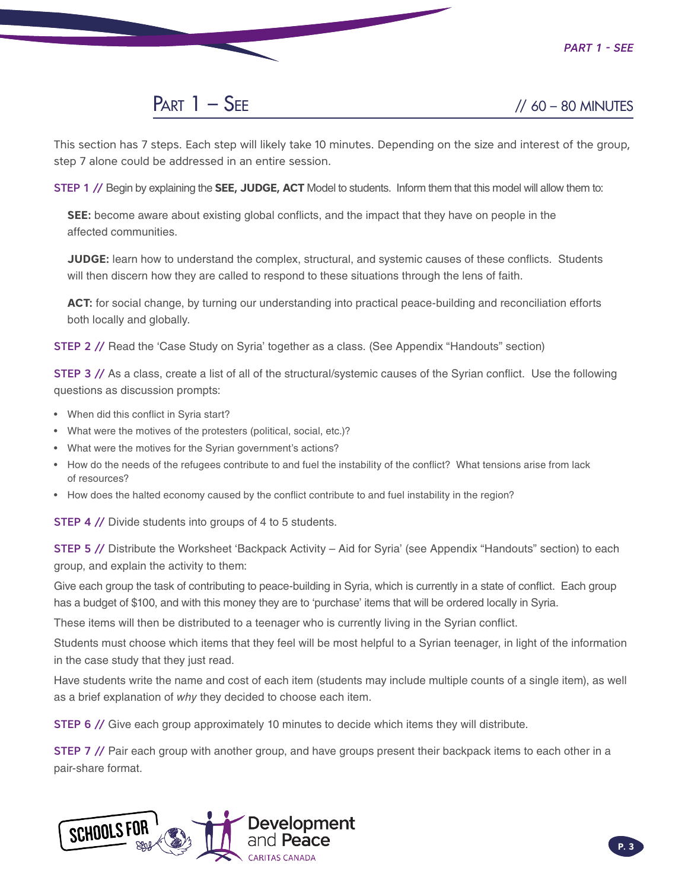### $PART 1 - SEE$  // 60 – 80 MINUTES

This section has 7 steps. Each step will likely take 10 minutes. Depending on the size and interest of the group, step 7 alone could be addressed in an entire session.

STEP 1 // Begin by explaining the **SEE, JUDGE, ACT** Model to students. Inform them that this model will allow them to:

**SEE:** become aware about existing global conflicts, and the impact that they have on people in the affected communities.

**JUDGE:** learn how to understand the complex, structural, and systemic causes of these conflicts. Students will then discern how they are called to respond to these situations through the lens of faith.

**ACT:** for social change, by turning our understanding into practical peace-building and reconciliation efforts both locally and globally.

STEP 2 // Read the 'Case Study on Syria' together as a class. (See Appendix "Handouts" section)

**STEP 3** // As a class, create a list of all of the structural/systemic causes of the Syrian conflict. Use the following questions as discussion prompts:

- When did this conflict in Syria start?
- What were the motives of the protesters (political, social, etc.)?
- What were the motives for the Syrian government's actions?
- How do the needs of the refugees contribute to and fuel the instability of the conflict? What tensions arise from lack of resources?
- How does the halted economy caused by the conflict contribute to and fuel instability in the region?

STEP 4 // Divide students into groups of 4 to 5 students.

STEP 5 // Distribute the Worksheet 'Backpack Activity – Aid for Syria' (see Appendix "Handouts" section) to each group, and explain the activity to them:

Give each group the task of contributing to peace-building in Syria, which is currently in a state of conflict. Each group has a budget of \$100, and with this money they are to 'purchase' items that will be ordered locally in Syria.

These items will then be distributed to a teenager who is currently living in the Syrian conflict.

Students must choose which items that they feel will be most helpful to a Syrian teenager, in light of the information in the case study that they just read.

Have students write the name and cost of each item (students may include multiple counts of a single item), as well as a brief explanation of *why* they decided to choose each item.

STEP 6 // Give each group approximately 10 minutes to decide which items they will distribute.

STEP 7 // Pair each group with another group, and have groups present their backpack items to each other in a pair-share format.

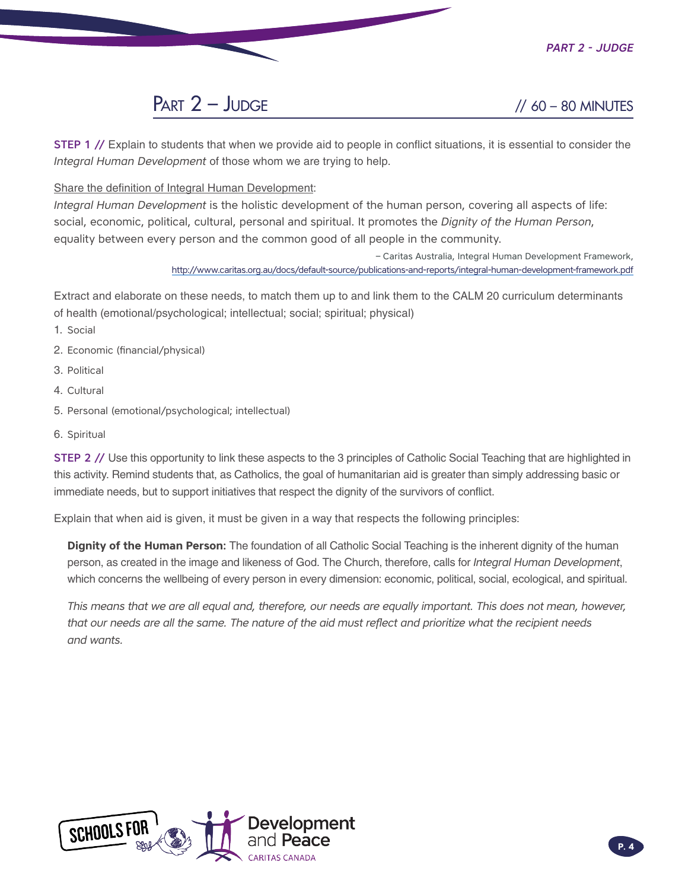*Part 2 - Judge*

## $PART 2 - JUDGE$  // 60 – 80 MINUTES

**STEP 1** // Explain to students that when we provide aid to people in conflict situations, it is essential to consider the *Integral Human Development* of those whom we are trying to help.

Share the definition of Integral Human Development:

*Integral Human Development* is the holistic development of the human person, covering all aspects of life: social, economic, political, cultural, personal and spiritual. It promotes the *Dignity of the Human Person*, equality between every person and the common good of all people in the community.

> – Caritas Australia, Integral Human Development Framework, <http://www.caritas.org.au/docs/default-source/publications-and-reports/integral-human-development-framework.pdf>

Extract and elaborate on these needs, to match them up to and link them to the CALM 20 curriculum determinants of health (emotional/psychological; intellectual; social; spiritual; physical)

- 1. Social
- 2. Economic (financial/physical)
- 3. Political
- 4. Cultural
- 5. Personal (emotional/psychological; intellectual)
- 6. Spiritual

STEP 2 // Use this opportunity to link these aspects to the 3 principles of Catholic Social Teaching that are highlighted in this activity. Remind students that, as Catholics, the goal of humanitarian aid is greater than simply addressing basic or immediate needs, but to support initiatives that respect the dignity of the survivors of conflict.

Explain that when aid is given, it must be given in a way that respects the following principles:

**Dignity of the Human Person:** The foundation of all Catholic Social Teaching is the inherent dignity of the human person, as created in the image and likeness of God. The Church, therefore, calls for *Integral Human Development*, which concerns the wellbeing of every person in every dimension: economic, political, social, ecological, and spiritual.

*This means that we are all equal and, therefore, our needs are equally important. This does not mean, however, that our needs are all the same. The nature of the aid must reflect and prioritize what the recipient needs and wants.*

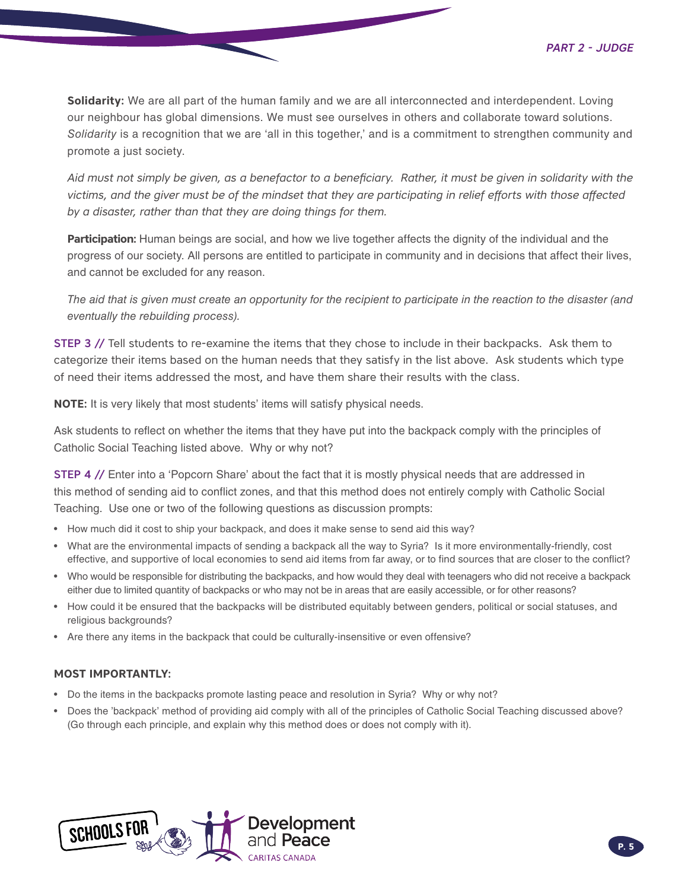**Solidarity:** We are all part of the human family and we are all interconnected and interdependent. Loving our neighbour has global dimensions. We must see ourselves in others and collaborate toward solutions. *Solidarity* is a recognition that we are 'all in this together,' and is a commitment to strengthen community and promote a just society.

*Aid must not simply be given, as a benefactor to a beneficiary. Rather, it must be given in solidarity with the victims, and the giver must be of the mindset that they are participating in relief efforts with those affected by a disaster, rather than that they are doing things for them.*

**Participation:** Human beings are social, and how we live together affects the dignity of the individual and the progress of our society. All persons are entitled to participate in community and in decisions that affect their lives, and cannot be excluded for any reason.

*The aid that is given must create an opportunity for the recipient to participate in the reaction to the disaster (and eventually the rebuilding process).*

**STEP 3** // Tell students to re-examine the items that they chose to include in their backpacks. Ask them to categorize their items based on the human needs that they satisfy in the list above. Ask students which type of need their items addressed the most, and have them share their results with the class.

**NOTE:** It is very likely that most students' items will satisfy physical needs.

Ask students to reflect on whether the items that they have put into the backpack comply with the principles of Catholic Social Teaching listed above. Why or why not?

STEP 4 // Enter into a 'Popcorn Share' about the fact that it is mostly physical needs that are addressed in this method of sending aid to conflict zones, and that this method does not entirely comply with Catholic Social Teaching. Use one or two of the following questions as discussion prompts:

- How much did it cost to ship your backpack, and does it make sense to send aid this way?
- What are the environmental impacts of sending a backpack all the way to Syria? Is it more environmentally-friendly, cost effective, and supportive of local economies to send aid items from far away, or to find sources that are closer to the conflict?
- Who would be responsible for distributing the backpacks, and how would they deal with teenagers who did not receive a backpack either due to limited quantity of backpacks or who may not be in areas that are easily accessible, or for other reasons?
- How could it be ensured that the backpacks will be distributed equitably between genders, political or social statuses, and religious backgrounds?
- Are there any items in the backpack that could be culturally-insensitive or even offensive?

#### **MOST IMPORTANTLY:**

- Do the items in the backpacks promote lasting peace and resolution in Syria? Why or why not?
- Does the 'backpack' method of providing aid comply with all of the principles of Catholic Social Teaching discussed above? (Go through each principle, and explain why this method does or does not comply with it).

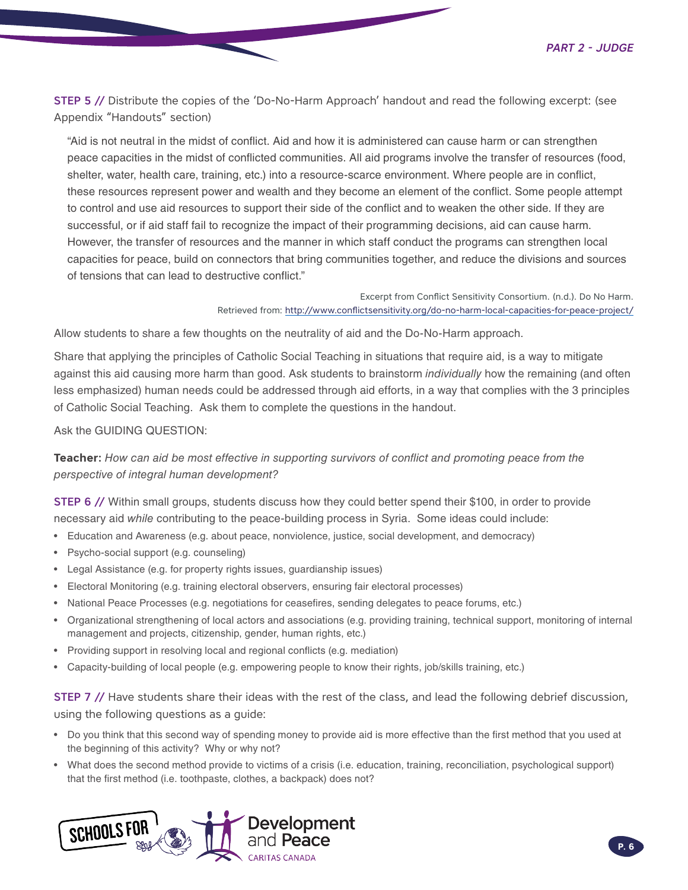STEP 5 // Distribute the copies of the 'Do-No-Harm Approach' handout and read the following excerpt: (see Appendix "Handouts" section)

"Aid is not neutral in the midst of conflict. Aid and how it is administered can cause harm or can strengthen peace capacities in the midst of conflicted communities. All aid programs involve the transfer of resources (food, shelter, water, health care, training, etc.) into a resource-scarce environment. Where people are in conflict, these resources represent power and wealth and they become an element of the conflict. Some people attempt to control and use aid resources to support their side of the conflict and to weaken the other side. If they are successful, or if aid staff fail to recognize the impact of their programming decisions, aid can cause harm. However, the transfer of resources and the manner in which staff conduct the programs can strengthen local capacities for peace, build on connectors that bring communities together, and reduce the divisions and sources of tensions that can lead to destructive conflict."

> Excerpt from Conflict Sensitivity Consortium. (n.d.). Do No Harm. Retrieved from: http://www.conflictsensitivity.org/do-no-harm-local-capacities-for-peace-project/

Allow students to share a few thoughts on the neutrality of aid and the Do-No-Harm approach.

Share that applying the principles of Catholic Social Teaching in situations that require aid, is a way to mitigate against this aid causing more harm than good. Ask students to brainstorm *individually* how the remaining (and often less emphasized) human needs could be addressed through aid efforts, in a way that complies with the 3 principles of Catholic Social Teaching. Ask them to complete the questions in the handout.

Ask the GUIDING QUESTION:

**Teacher:** *How can aid be most effective in supporting survivors of conflict and promoting peace from the perspective of integral human development?*

STEP 6 // Within small groups, students discuss how they could better spend their \$100, in order to provide necessary aid *while* contributing to the peace-building process in Syria. Some ideas could include:

- Education and Awareness (e.g. about peace, nonviolence, justice, social development, and democracy)
- Psycho-social support (e.g. counseling)
- Legal Assistance (e.g. for property rights issues, guardianship issues)
- Electoral Monitoring (e.g. training electoral observers, ensuring fair electoral processes)
- National Peace Processes (e.g. negotiations for ceasefires, sending delegates to peace forums, etc.)
- Organizational strengthening of local actors and associations (e.g. providing training, technical support, monitoring of internal management and projects, citizenship, gender, human rights, etc.)
- Providing support in resolving local and regional conflicts (e.g. mediation)
- Capacity-building of local people (e.g. empowering people to know their rights, job/skills training, etc.)

STEP 7 // Have students share their ideas with the rest of the class, and lead the following debrief discussion, using the following questions as a guide:

- Do you think that this second way of spending money to provide aid is more effective than the first method that you used at the beginning of this activity? Why or why not?
- What does the second method provide to victims of a crisis (i.e. education, training, reconciliation, psychological support) that the first method (i.e. toothpaste, clothes, a backpack) does not?

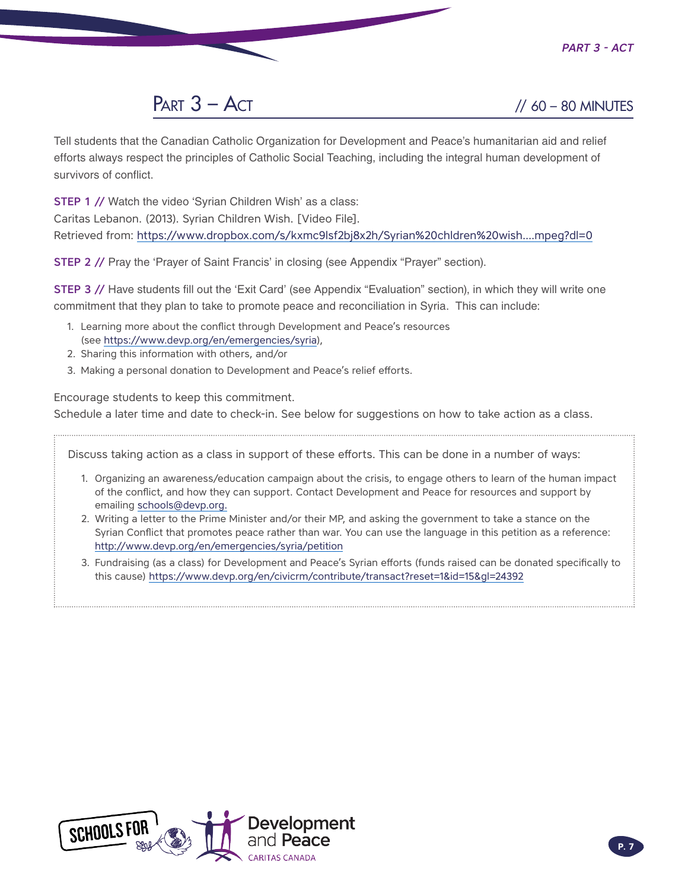*Part 3 - Act*



Tell students that the Canadian Catholic Organization for Development and Peace's humanitarian aid and relief efforts always respect the principles of Catholic Social Teaching, including the integral human development of survivors of conflict.

**STEP 1 // Watch the video 'Syrian Children Wish' as a class:** 

Caritas Lebanon. (2013). Syrian Children Wish. [Video File].

Retrieved from: [https://www.dropbox.com/s/kxmc9lsf2bj8x2h/Syrian%20chldren%20wish....mpeg?dl=0](https://www.dropbox.com/s/kxmc9lsf2bj8x2h/Syrian%2520chldren%2520wish....mpeg?dl=0)

STEP 2 // Pray the 'Prayer of Saint Francis' in closing (see Appendix "Prayer" section).

STEP 3 // Have students fill out the 'Exit Card' (see Appendix "Evaluation" section), in which they will write one commitment that they plan to take to promote peace and reconciliation in Syria. This can include:

- 1. Learning more about the conflict through Development and Peace's resources (see [https://www.devp.org/en/emergencies/syria\)](https://www.devp.org/en/emergencies/syria),
- 2. Sharing this information with others, and/or
- 3. Making a personal donation to Development and Peace's relief efforts.

Encourage students to keep this commitment.

Schedule a later time and date to check-in. See below for suggestions on how to take action as a class.

Discuss taking action as a class in support of these efforts. This can be done in a number of ways:

- 1. Organizing an awareness/education campaign about the crisis, to engage others to learn of the human impact of the conflict, and how they can support. Contact Development and Peace for resources and support by emailing [schools@devp.org.](mailto:schools%40devp.org.%20?subject=)
- 2. Writing a letter to the Prime Minister and/or their MP, and asking the government to take a stance on the Syrian Conflict that promotes peace rather than war. You can use the language in this petition as a reference: <http://www.devp.org/en/emergencies/syria/petition>
- 3. Fundraising (as a class) for Development and Peace's Syrian efforts (funds raised can be donated specifically to this cause) <https://www.devp.org/en/civicrm/contribute/transact?reset=1&id=15&gl=24392>

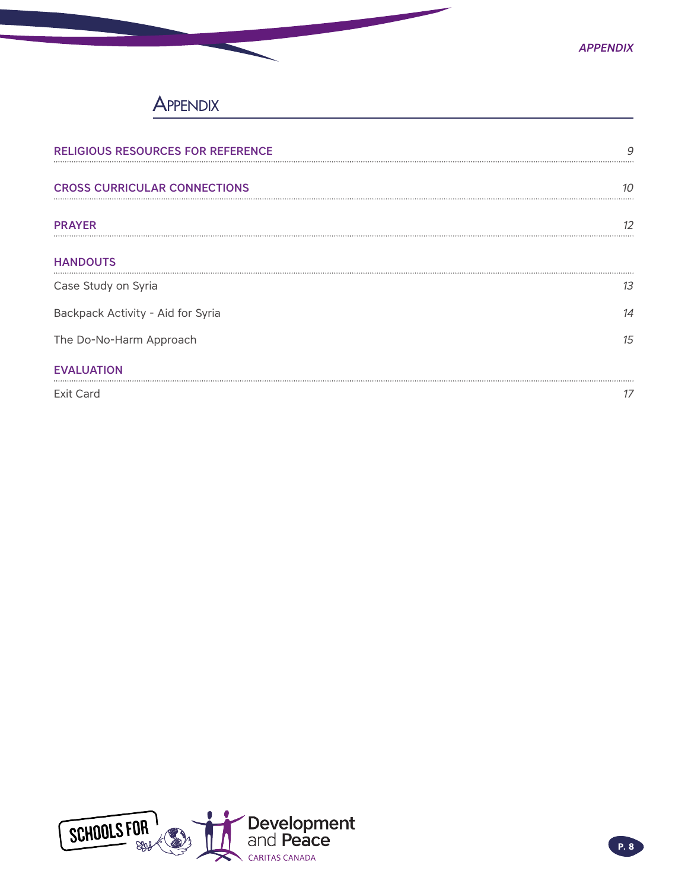

### **APPENDIX**

| <b>RELIGIOUS RESOURCES FOR REFERENCE</b> | 9  |
|------------------------------------------|----|
| <b>CROSS CURRICULAR CONNECTIONS</b>      | 10 |
| <b>PRAYER</b>                            | 12 |
| <b>HANDOUTS</b>                          |    |
| Case Study on Syria                      | 13 |
| Backpack Activity - Aid for Syria        | 14 |
| The Do-No-Harm Approach                  | 15 |
| <b>EVALUATION</b>                        |    |
| <b>Exit Card</b>                         | 17 |

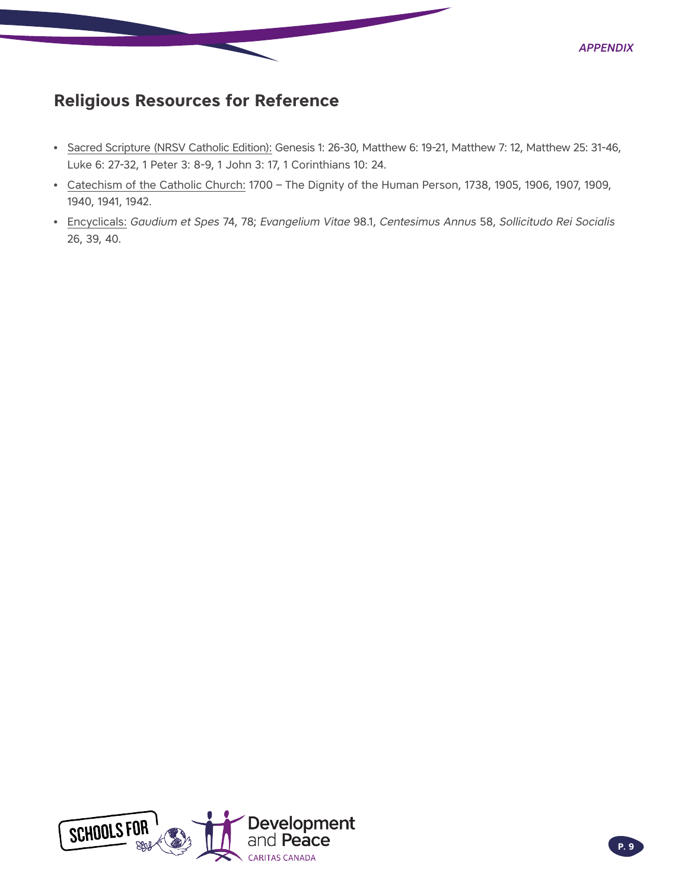<span id="page-8-0"></span>

- Sacred Scripture (NRSV Catholic Edition): Genesis 1: 26-30, Matthew 6: 19-21, Matthew 7: 12, Matthew 25: 31-46, Luke 6: 27-32, 1 Peter 3: 8-9, 1 John 3: 17, 1 Corinthians 10: 24.
- Catechism of the Catholic Church: 1700 The Dignity of the Human Person, 1738, 1905, 1906, 1907, 1909, 1940, 1941, 1942.
- Encyclicals: *Gaudium et Spes* 74, 78; *Evangelium Vitae* 98.1, *Centesimus Annus* 58, *Sollicitudo Rei Socialis* 26, 39, 40.



*Appendix*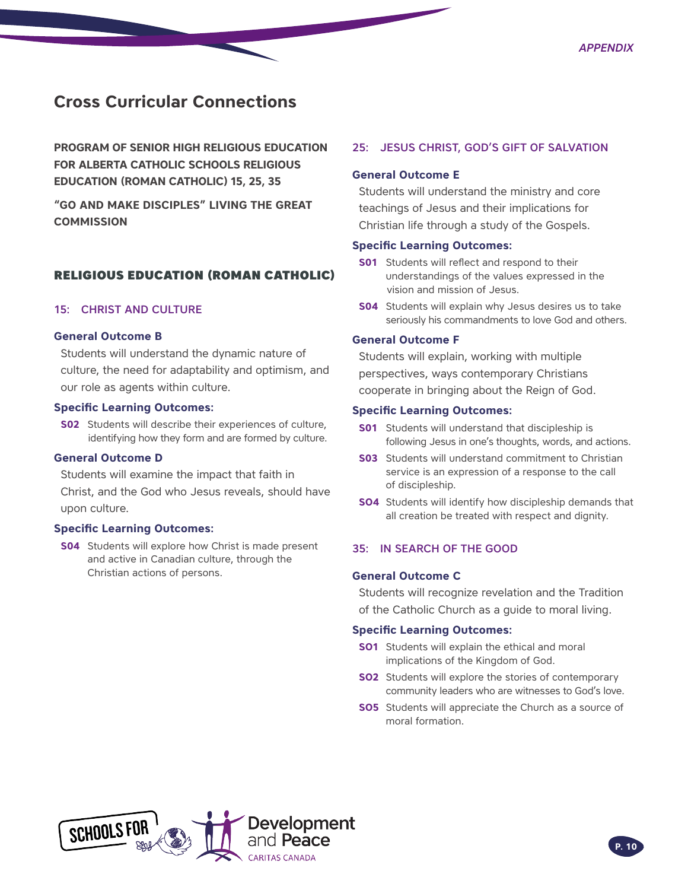### <span id="page-9-0"></span>**Cross Curricular Connections**

**PROGRAM OF SENIOR HIGH RELIGIOUS EDUCATION FOR ALBERTA CATHOLIC SCHOOLS RELIGIOUS EDUCATION (ROMAN CATHOLIC) 15, 25, 35**

**"GO AND MAKE DISCIPLES" LIVING THE GREAT COMMISSION** 

### RELIGIOUS EDUCATION (ROMAN CATHOLIC)

#### 15: CHRIST AND CULTURE

#### **General Outcome B**

Students will understand the dynamic nature of culture, the need for adaptability and optimism, and our role as agents within culture.

#### **Specific Learning Outcomes:**

**S02** Students will describe their experiences of culture, identifying how they form and are formed by culture.

#### **General Outcome D**

Students will examine the impact that faith in Christ, and the God who Jesus reveals, should have upon culture.

#### **Specific Learning Outcomes:**

**S04** Students will explore how Christ is made present and active in Canadian culture, through the Christian actions of persons.

#### 25: JESUS CHRIST, GOD'S GIFT OF SALVATION

#### **General Outcome E**

Students will understand the ministry and core teachings of Jesus and their implications for Christian life through a study of the Gospels.

#### **Specific Learning Outcomes:**

- **S01** Students will reflect and respond to their understandings of the values expressed in the vision and mission of Jesus.
- **S04** Students will explain why Jesus desires us to take seriously his commandments to love God and others.

#### **General Outcome F**

Students will explain, working with multiple perspectives, ways contemporary Christians cooperate in bringing about the Reign of God.

#### **Specific Learning Outcomes:**

- **S01** Students will understand that discipleship is following Jesus in one's thoughts, words, and actions.
- **S03** Students will understand commitment to Christian service is an expression of a response to the call of discipleship.
- **SO4** Students will identify how discipleship demands that all creation be treated with respect and dignity.

#### 35: IN SEARCH OF THE GOOD

#### **General Outcome C**

Students will recognize revelation and the Tradition of the Catholic Church as a guide to moral living.

#### **Specific Learning Outcomes:**

- **SO1** Students will explain the ethical and moral implications of the Kingdom of God.
- **SO2** Students will explore the stories of contemporary community leaders who are witnesses to God's love.
- **SO5** Students will appreciate the Church as a source of moral formation.

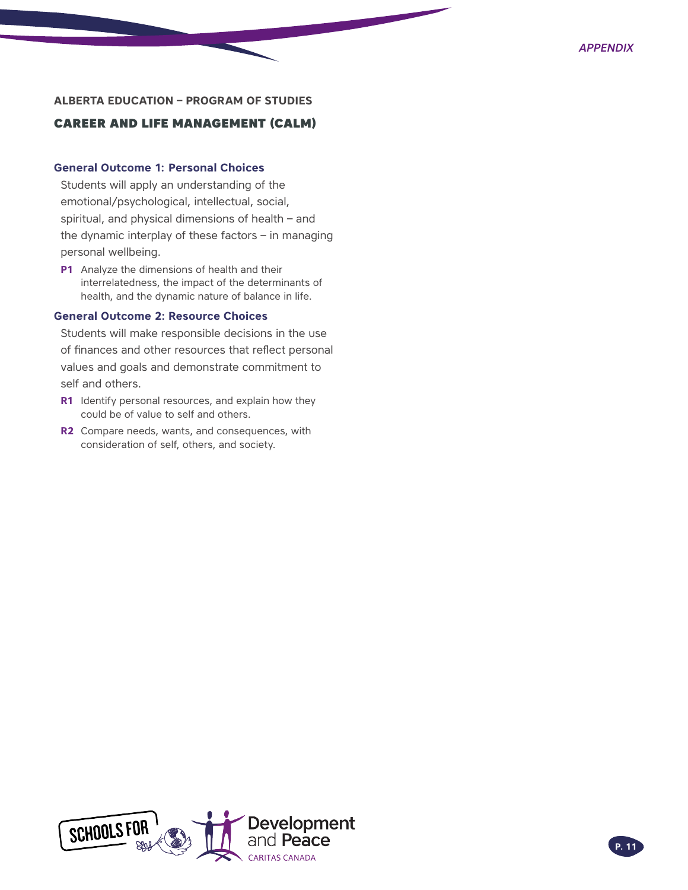#### **ALBERTA EDUCATION – PROGRAM OF STUDIES**

#### CAREER AND LIFE MANAGEMENT (CALM)

#### **General Outcome 1: Personal Choices**

Students will apply an understanding of the emotional/psychological, intellectual, social, spiritual, and physical dimensions of health – and the dynamic interplay of these factors – in managing personal wellbeing.

**P1** Analyze the dimensions of health and their interrelatedness, the impact of the determinants of health, and the dynamic nature of balance in life.

#### **General Outcome 2: Resource Choices**

Students will make responsible decisions in the use of finances and other resources that reflect personal values and goals and demonstrate commitment to self and others.

- **R1** Identify personal resources, and explain how they could be of value to self and others.
- **R2** Compare needs, wants, and consequences, with consideration of self, others, and society.

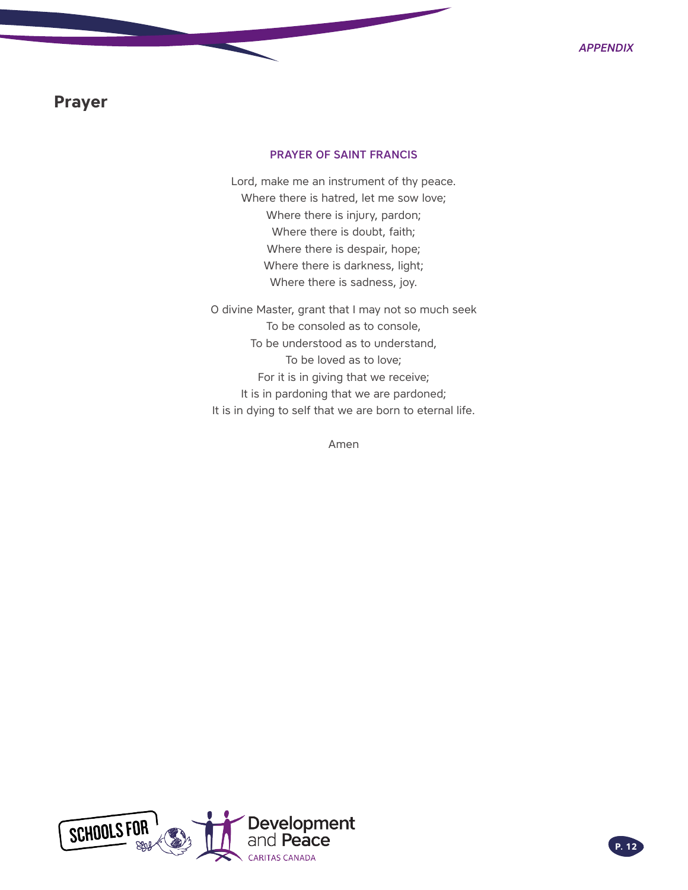### <span id="page-11-0"></span>**Prayer**

#### PRAYER OF SAINT FRANCIS

Lord, make me an instrument of thy peace. Where there is hatred, let me sow love; Where there is injury, pardon; Where there is doubt, faith; Where there is despair, hope; Where there is darkness, light; Where there is sadness, joy.

O divine Master, grant that I may not so much seek To be consoled as to console, To be understood as to understand, To be loved as to love; For it is in giving that we receive; It is in pardoning that we are pardoned; It is in dying to self that we are born to eternal life.

Amen

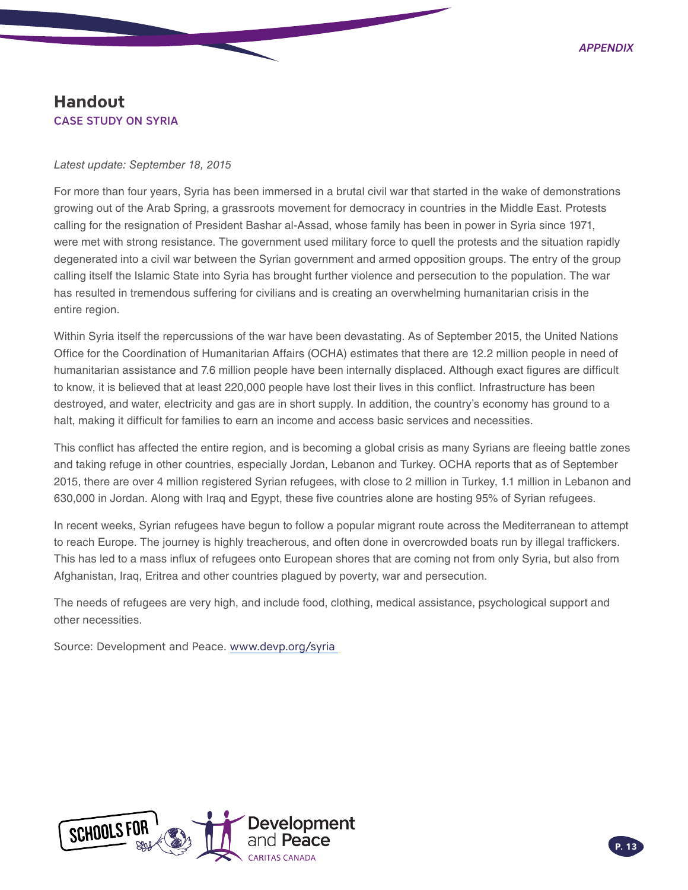### <span id="page-12-0"></span>**Handout** CASE STUDY ON SYRIA

*Latest update: September 18, 2015*

For more than four years, Syria has been immersed in a brutal civil war that started in the wake of demonstrations growing out of the Arab Spring, a grassroots movement for democracy in countries in the Middle East. Protests calling for the resignation of President Bashar al-Assad, whose family has been in power in Syria since 1971, were met with strong resistance. The government used military force to quell the protests and the situation rapidly degenerated into a civil war between the Syrian government and armed opposition groups. The entry of the group calling itself the Islamic State into Syria has brought further violence and persecution to the population. The war has resulted in tremendous suffering for civilians and is creating an overwhelming humanitarian crisis in the entire region.

Within Syria itself the repercussions of the war have been devastating. As of September 2015, the United Nations Office for the Coordination of Humanitarian Affairs (OCHA) estimates that there are 12.2 million people in need of humanitarian assistance and 7.6 million people have been internally displaced. Although exact figures are difficult to know, it is believed that at least 220,000 people have lost their lives in this conflict. Infrastructure has been destroyed, and water, electricity and gas are in short supply. In addition, the country's economy has ground to a halt, making it difficult for families to earn an income and access basic services and necessities.

This conflict has affected the entire region, and is becoming a global crisis as many Syrians are fleeing battle zones and taking refuge in other countries, especially Jordan, Lebanon and Turkey. OCHA reports that as of September 2015, there are over 4 million registered Syrian refugees, with close to 2 million in Turkey, 1.1 million in Lebanon and 630,000 in Jordan. Along with Iraq and Egypt, these five countries alone are hosting 95% of Syrian refugees.

In recent weeks, Syrian refugees have begun to follow a popular migrant route across the Mediterranean to attempt to reach Europe. The journey is highly treacherous, and often done in overcrowded boats run by illegal traffickers. This has led to a mass influx of refugees onto European shores that are coming not from only Syria, but also from Afghanistan, Iraq, Eritrea and other countries plagued by poverty, war and persecution.

The needs of refugees are very high, and include food, clothing, medical assistance, psychological support and other necessities.

Source: Development and Peace. [www.devp.org/syria](http://www.devp.org/syria)

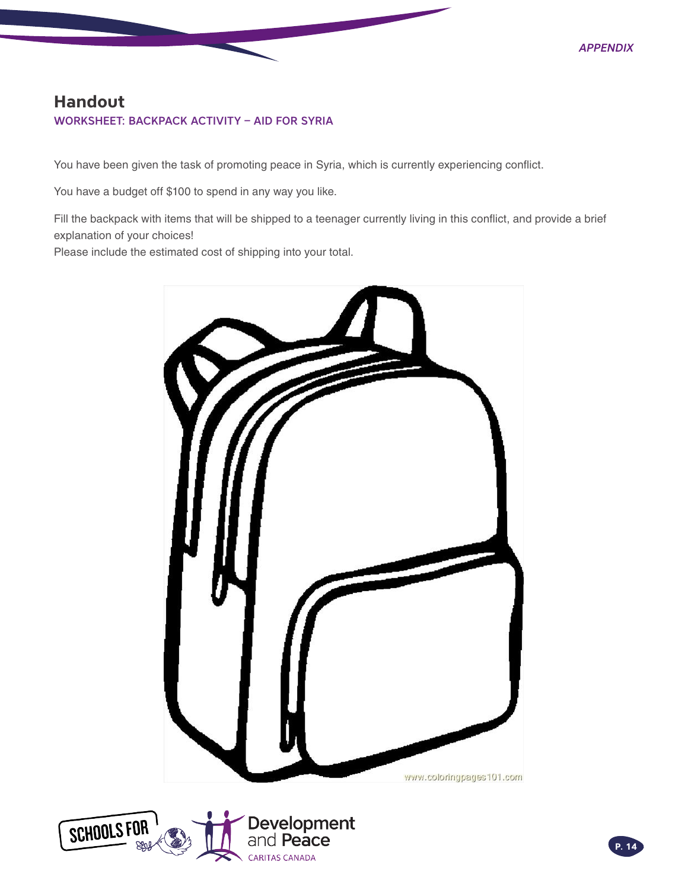### <span id="page-13-0"></span>**Handout** WORKSHEET: BACKPACK ACTIVITY – AID FOR SYRIA

You have been given the task of promoting peace in Syria, which is currently experiencing conflict.

You have a budget off \$100 to spend in any way you like.

Fill the backpack with items that will be shipped to a teenager currently living in this conflict, and provide a brief explanation of your choices!

Please include the estimated cost of shipping into your total.

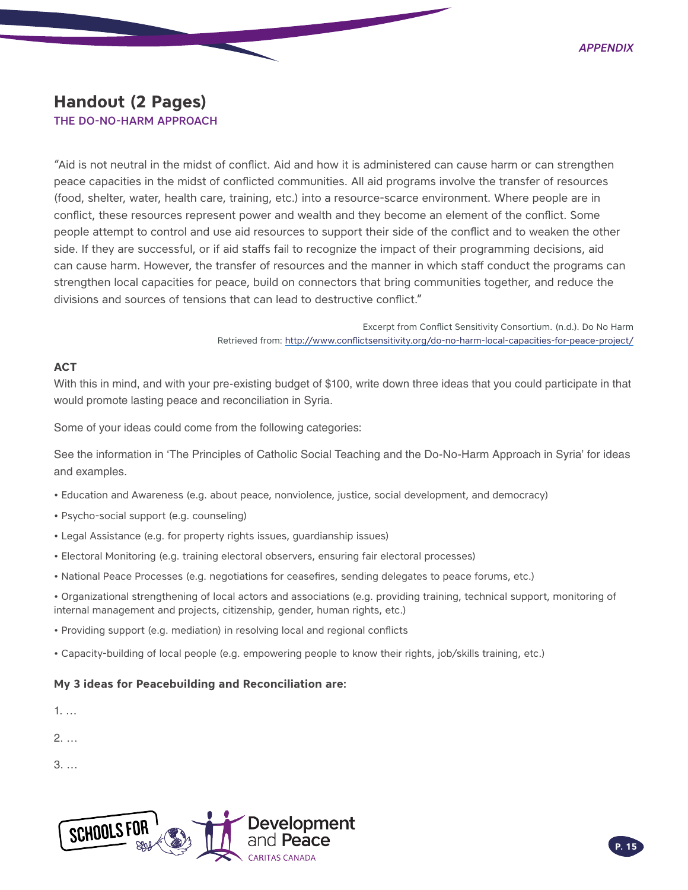### <span id="page-14-0"></span>**Handout (2 Pages)**

#### THE DO-NO-HARM APPROACH

"Aid is not neutral in the midst of conflict. Aid and how it is administered can cause harm or can strengthen peace capacities in the midst of conflicted communities. All aid programs involve the transfer of resources (food, shelter, water, health care, training, etc.) into a resource-scarce environment. Where people are in conflict, these resources represent power and wealth and they become an element of the conflict. Some people attempt to control and use aid resources to support their side of the conflict and to weaken the other side. If they are successful, or if aid staffs fail to recognize the impact of their programming decisions, aid can cause harm. However, the transfer of resources and the manner in which staff conduct the programs can strengthen local capacities for peace, build on connectors that bring communities together, and reduce the divisions and sources of tensions that can lead to destructive conflict."

> Excerpt from Conflict Sensitivity Consortium. (n.d.). Do No Harm Retrieved from: http://www.conflictsensitivity.org/do-no-harm-local-capacities-for-peace-project/

#### **ACT**

With this in mind, and with your pre-existing budget of \$100, write down three ideas that you could participate in that would promote lasting peace and reconciliation in Syria.

Some of your ideas could come from the following categories:

See the information in 'The Principles of Catholic Social Teaching and the Do-No-Harm Approach in Syria' for ideas and examples.

- Education and Awareness (e.g. about peace, nonviolence, justice, social development, and democracy)
- Psycho-social support (e.g. counseling)
- Legal Assistance (e.g. for property rights issues, guardianship issues)
- Electoral Monitoring (e.g. training electoral observers, ensuring fair electoral processes)
- National Peace Processes (e.g. negotiations for ceasefires, sending delegates to peace forums, etc.)

• Organizational strengthening of local actors and associations (e.g. providing training, technical support, monitoring of internal management and projects, citizenship, gender, human rights, etc.)

- Providing support (e.g. mediation) in resolving local and regional conflicts
- Capacity-building of local people (e.g. empowering people to know their rights, job/skills training, etc.)

#### **My 3 ideas for Peacebuilding and Reconciliation are:**

2. …

3. …

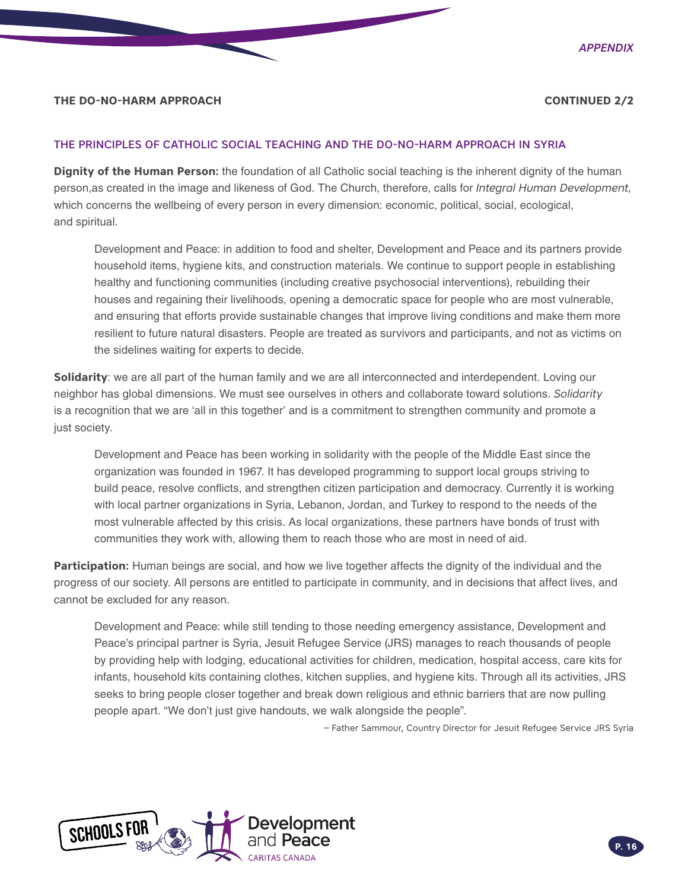#### **THE DO-NO-HARM APPROACH CONTINUED 2/2**

#### THE PRINCIPLES OF CATHOLIC SOCIAL TEACHING AND THE DO-NO-HARM APPROACH IN SYRIA

**Dignity of the Human Person:** the foundation of all Catholic social teaching is the inherent dignity of the human person,as created in the image and likeness of God. The Church, therefore, calls for *Integral Human Development*, which concerns the wellbeing of every person in every dimension: economic, political, social, ecological, and spiritual.

Development and Peace: in addition to food and shelter, Development and Peace and its partners provide household items, hygiene kits, and construction materials. We continue to support people in establishing healthy and functioning communities (including creative psychosocial interventions), rebuilding their houses and regaining their livelihoods, opening a democratic space for people who are most vulnerable, and ensuring that efforts provide sustainable changes that improve living conditions and make them more resilient to future natural disasters. People are treated as survivors and participants, and not as victims on the sidelines waiting for experts to decide.

**Solidarity**: we are all part of the human family and we are all interconnected and interdependent. Loving our neighbor has global dimensions. We must see ourselves in others and collaborate toward solutions. *Solidarity* is a recognition that we are 'all in this together' and is a commitment to strengthen community and promote a just society.

Development and Peace has been working in solidarity with the people of the Middle East since the organization was founded in 1967. It has developed programming to support local groups striving to build peace, resolve conflicts, and strengthen citizen participation and democracy. Currently it is working with local partner organizations in Syria, Lebanon, Jordan, and Turkey to respond to the needs of the most vulnerable affected by this crisis. As local organizations, these partners have bonds of trust with communities they work with, allowing them to reach those who are most in need of aid.

**Participation:** Human beings are social, and how we live together affects the dignity of the individual and the progress of our society. All persons are entitled to participate in community, and in decisions that affect lives, and cannot be excluded for any reason.

Development and Peace: while still tending to those needing emergency assistance, Development and Peace's principal partner is Syria, Jesuit Refugee Service (JRS) manages to reach thousands of people by providing help with lodging, educational activities for children, medication, hospital access, care kits for infants, household kits containing clothes, kitchen supplies, and hygiene kits. Through all its activities, JRS seeks to bring people closer together and break down religious and ethnic barriers that are now pulling people apart. "We don't just give handouts, we walk alongside the people".

– Father Sammour, Country Director for Jesuit Refugee Service JRS Syria